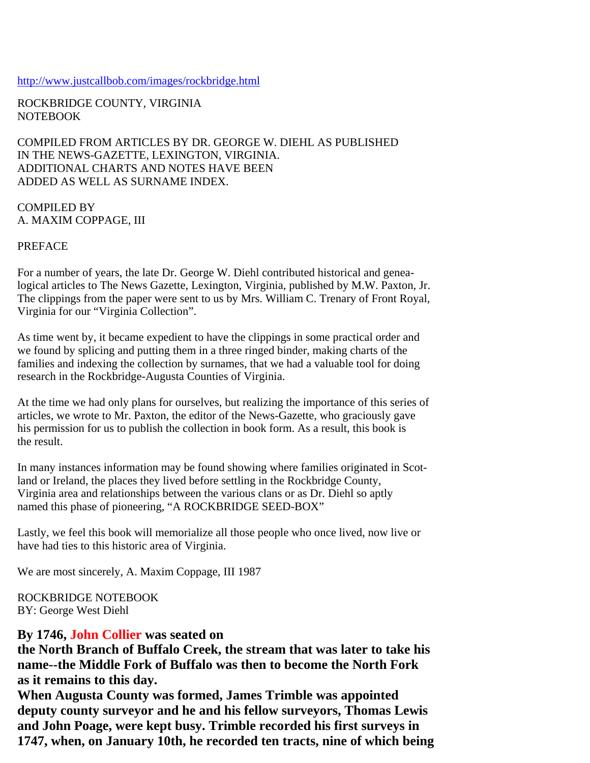## http://www.justcallbob.com/images/rockbridge.html

ROCKBRIDGE COUNTY, VIRGINIA NOTEBOOK

COMPILED FROM ARTICLES BY DR. GEORGE W. DIEHL AS PUBLISHED IN THE NEWS-GAZETTE, LEXINGTON, VIRGINIA. ADDITIONAL CHARTS AND NOTES HAVE BEEN ADDED AS WELL AS SURNAME INDEX.

COMPILED BY A. MAXIM COPPAGE, III

PREFACE

For a number of years, the late Dr. George W. Diehl contributed historical and genealogical articles to The News Gazette, Lexington, Virginia, published by M.W. Paxton, Jr. The clippings from the paper were sent to us by Mrs. William C. Trenary of Front Royal, Virginia for our "Virginia Collection".

As time went by, it became expedient to have the clippings in some practical order and we found by splicing and putting them in a three ringed binder, making charts of the families and indexing the collection by surnames, that we had a valuable tool for doing research in the Rockbridge-Augusta Counties of Virginia.

At the time we had only plans for ourselves, but realizing the importance of this series of articles, we wrote to Mr. Paxton, the editor of the News-Gazette, who graciously gave his permission for us to publish the collection in book form. As a result, this book is the result.

In many instances information may be found showing where families originated in Scotland or Ireland, the places they lived before settling in the Rockbridge County, Virginia area and relationships between the various clans or as Dr. Diehl so aptly named this phase of pioneering, "A ROCKBRIDGE SEED-BOX"

Lastly, we feel this book will memorialize all those people who once lived, now live or have had ties to this historic area of Virginia.

We are most sincerely, A. Maxim Coppage, III 1987

ROCKBRIDGE NOTEBOOK BY: George West Diehl

## **By 1746, John Collier was seated on**

**the North Branch of Buffalo Creek, the stream that was later to take his name--the Middle Fork of Buffalo was then to become the North Fork as it remains to this day.**

**When Augusta County was formed, James Trimble was appointed deputy county surveyor and he and his fellow surveyors, Thomas Lewis and John Poage, were kept busy. Trimble recorded his first surveys in 1747, when, on January 10th, he recorded ten tracts, nine of which being**